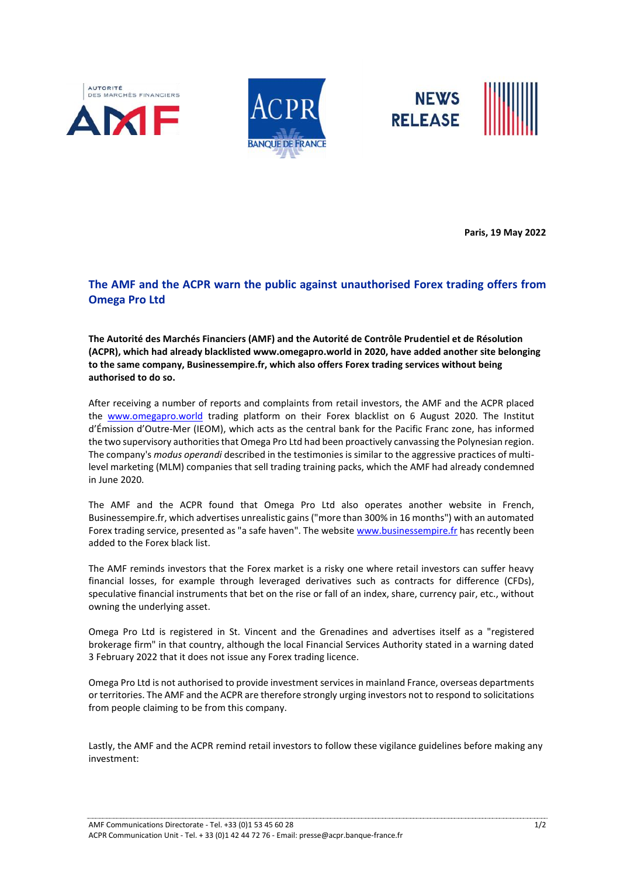





**Paris, 19 May 2022**

## **The AMF and the ACPR warn the public against unauthorised Forex trading offers from Omega Pro Ltd**

**The Autorité des Marchés Financiers (AMF) and the Autorité de Contrôle Prudentiel et de Résolution (ACPR), which had already blacklisted www.omegapro.world in 2020, have added another site belonging to the same company, Businessempire.fr, which also offers Forex trading services without being authorised to do so.**

After receiving a number of reports and complaints from retail investors, the AMF and the ACPR placed the [www.omegapro.world](http://www.omegapro.world/) trading platform on their Forex blacklist on 6 August 2020. The Institut d'Émission d'Outre-Mer (IEOM), which acts as the central bank for the Pacific Franc zone, has informed the two supervisory authorities that Omega Pro Ltd had been proactively canvassing the Polynesian region. The company's *modus operandi* described in the testimonies is similar to the aggressive practices of multilevel marketing (MLM) companies that sell trading training packs, which the AMF had already condemned in June 2020.

The AMF and the ACPR found that Omega Pro Ltd also operates another website in French, Businessempire.fr, which advertises unrealistic gains ("more than 300% in 16 months") with an automated Forex trading service, presented as "a safe haven". The websit[e www.businessempire.fr](http://www.businessempire.fr/) has recently been added to the Forex black list.

The AMF reminds investors that the Forex market is a risky one where retail investors can suffer heavy financial losses, for example through leveraged derivatives such as contracts for difference (CFDs), speculative financial instruments that bet on the rise or fall of an index, share, currency pair, etc., without owning the underlying asset.

Omega Pro Ltd is registered in St. Vincent and the Grenadines and advertises itself as a "registered brokerage firm" in that country, although the local Financial Services Authority stated in a warning dated 3 February 2022 that it does not issue any Forex trading licence.

Omega Pro Ltd is not authorised to provide investment services in mainland France, overseas departments or territories. The AMF and the ACPR are therefore strongly urging investors not to respond to solicitations from people claiming to be from this company.

Lastly, the AMF and the ACPR remind retail investors to follow these vigilance guidelines before making any investment: